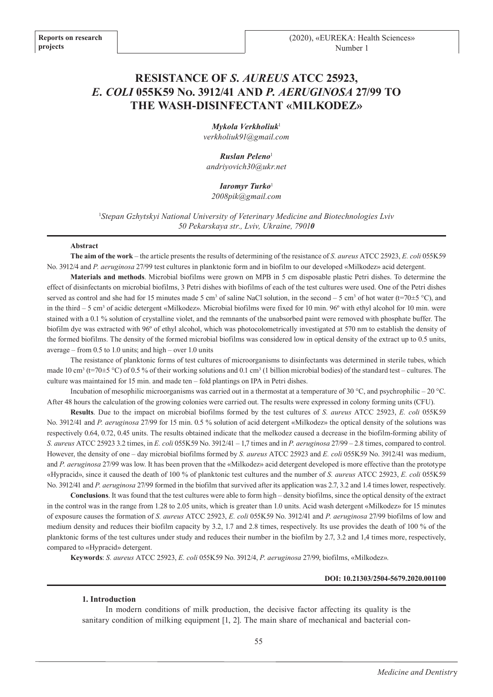# **RESISTANCE OF** *S. AUREUS* **ATCC 25923,**  *E. COLI* **055K59 No. 3912/41 AND** *P. AERUGINOSA* **27/99 TO THE WASH-DISINFECTANT «MILKODEZ»**

*Mykola Verkholіuk*<sup>1</sup> *verkholiuk91@gmail.com*

*Ruslan Peleno*<sup>1</sup> *andriyovich30@ukr.net*

*Iaromyr Turko*<sup>1</sup> *2008pik@gmail.com*

1 *Stepan Gzhytskyi National University of Veterinary Medicine and Biotechnologies Lviv 50 Pekarskaya str., Lviv, Ukraine, 79010*

#### **Abstract**

**The aim of the work** – the article presents the results of determining of the resistance of *S. aureus* ATCC 25923, *E. coli* 055K59 No. 3912/4 and *P. aeruginosa* 27/99 test cultures in planktonic form and in biofilm to our developed «Milkodez» acid detergent.

**Materials and methods**. Microbial biofilms were grown on MPB in 5 cm disposable plastic Petri dishes. To determine the effect of disinfectants on microbial biofilms, 3 Petri dishes with biofilms of each of the test cultures were used. One of the Petri dishes served as control and she had for 15 minutes made 5 cm<sup>3</sup> of saline NaCl solution, in the second  $-5$  cm<sup>3</sup> of hot water (t=70 $\pm$ 5 °C), and in the third – 5 cm<sup>3</sup> of acidic detergent «Milkodez». Microbial biofilms were fixed for 10 min. 96° with ethyl alcohol for 10 min. were stained with a 0.1 % solution of crystalline violet, and the remnants of the unabsorbed paint were removed with phosphate buffer. The biofilm dye was extracted with 96º of ethyl alcohol, which was photocolometrically investigated at 570 nm to establish the density of the formed biofilms. The density of the formed microbial biofilms was considered low in optical density of the extract up to 0.5 units, average – from 0.5 to 1.0 units; and high – over 1.0 units

The resistance of planktonic forms of test cultures of microorganisms to disinfectants was determined in sterile tubes, which made 10 cm<sup>3</sup> (t=70±5 °C) of 0.5 % of their working solutions and 0.1 cm<sup>3</sup> (1 billion microbial bodies) of the standard test – cultures. The culture was maintained for 15 min. and made ten – fold plantings on IPA in Petri dishes.

Incubation of mesophilic microorganisms was carried out in a thermostat at a temperature of 30 °C, and psychrophilic – 20 °C. After 48 hours the calculation of the growing colonies were carried out. The results were expressed in colony forming units (CFU).

**Results**. Due to the impact on microbial biofilms formed by the test cultures of *S. aureus* ATCC 25923, *E. coli* 055K59 No. 3912/41 and *P. aeruginosa* 27/99 for 15 min. 0.5 % solution of acid detergent «Milkodez» the optical density of the solutions was respectively 0.64, 0.72, 0.45 units. The results obtained indicate that the melkodez caused a decrease in the biofilm-forming ability of *S. aureus* ATCC 25923 3.2 times, in *E. coli* 055K59 No. 3912/41 – 1,7 times and in *P. aeruginosa* 27/99 – 2.8 times, compared to control. However, the density of one – day microbial biofilms formed by *S. aureus* ATCC 25923 and *E. coli* 055K59 No. 3912/41 was medium, and *P. aeruginosa* 27/99 was low. It has been proven that the «Milkodez» acid detergent developed is more effective than the prototype «Hypracid», since it caused the death of 100 % of planktonic test cultures and the number of *S. aureus* ATCC 25923, *E. coli* 055K59 No. 3912/41 and *P. aeruginosa* 27/99 formed in the biofilm that survived after its application was 2.7, 3.2 and 1.4 times lower, respectively.

**Conclusions**. It was found that the test cultures were able to form high – density biofilms, since the optical density of the extract in the control was in the range from 1.28 to 2.05 units, which is greater than 1.0 units. Acid wash detergent «Milkodez» for 15 minutes of exposure causes the formation of *S. aureus* ATCC 25923, *E. coli* 055K59 No. 3912/41 and *P. aeruginosa* 27/99 biofilms of low and medium density and reduces their biofilm capacity by 3.2, 1.7 and 2.8 times, respectively. Its use provides the death of 100 % of the planktonic forms of the test cultures under study and reduces their number in the biofilm by 2.7, 3.2 and 1,4 times more, respectively, compared to «Hypracid» detergent.

**Keywords**: *S. aureus* ATCC 25923, *E. coli* 055K59 No. 3912/4, *P. аeruginosa* 27/99, biofilms, «Milkodez».

#### **DOI: 10.21303/2504-5679.2020.001100**

#### **1. Introduction**

In modern conditions of milk production, the decisive factor affecting its quality is the sanitary condition of milking equipment [1, 2]. The main share of mechanical and bacterial con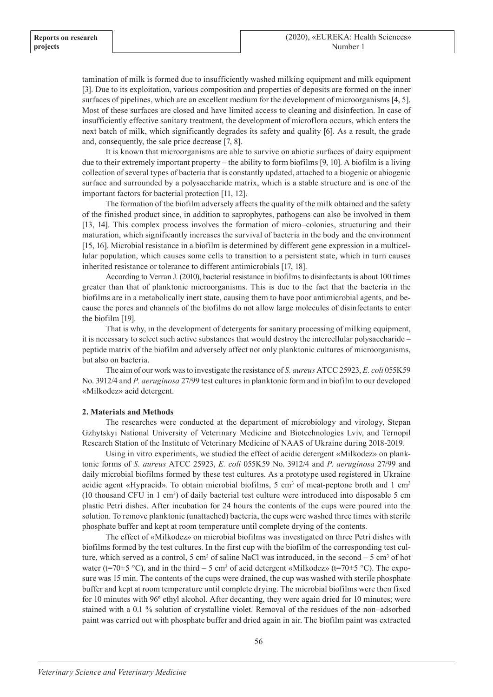tamination of milk is formed due to insufficiently washed milking equipment and milk equipment [3]. Due to its exploitation, various composition and properties of deposits are formed on the inner surfaces of pipelines, which are an excellent medium for the development of microorganisms [4, 5]. Most of these surfaces are closed and have limited access to cleaning and disinfection. In case of insufficiently effective sanitary treatment, the development of microflora occurs, which enters the next batch of milk, which significantly degrades its safety and quality [6]. As a result, the grade and, consequently, the sale price decrease [7, 8].

It is known that microorganisms are able to survive on abiotic surfaces of dairy equipment due to their extremely important property – the ability to form biofilms [9, 10]. A biofilm is a living collection of several types of bacteria that is constantly updated, attached to a biogenic or abiogenic surface and surrounded by a polysaccharide matrix, which is a stable structure and is one of the important factors for bacterial protection [11, 12].

The formation of the biofilm adversely affects the quality of the milk obtained and the safety of the finished product since, in addition to saprophytes, pathogens can also be involved in them [13, 14]. This complex process involves the formation of micro–colonies, structuring and their maturation, which significantly increases the survival of bacteria in the body and the environment [15, 16]. Microbial resistance in a biofilm is determined by different gene expression in a multicellular population, which causes some cells to transition to a persistent state, which in turn causes inherited resistance or tolerance to different antimicrobials [17, 18].

According to Verran J. (2010), bacterial resistance in biofilms to disinfectants is about 100 times greater than that of planktonic microorganisms. This is due to the fact that the bacteria in the biofilms are in a metabolically inert state, causing them to have poor antimicrobial agents, and because the pores and channels of the biofilms do not allow large molecules of disinfectants to enter the biofilm [19].

That is why, in the development of detergents for sanitary processing of milking equipment, it is necessary to select such active substances that would destroy the intercellular polysaccharide – peptide matrix of the biofilm and adversely affect not only planktonic cultures of microorganisms, but also on bacteria.

The aim of our work was to investigate the resistance of *S. aureus* ATCC 25923, *E. coli* 055K59 No. 3912/4 and *P. aeruginosa* 27/99 test cultures in planktonic form and in biofilm to our developed «Milkodez» acid detergent.

#### **2. Materials and Methods**

The researches were conducted at the department of microbiology and virology, Stepan Gzhytskyi National University of Veterinary Medicine and Biotechnologies Lviv, and Ternopil Research Station of the Institute of Veterinary Medicine of NAAS of Ukraine during 2018-2019.

Using in vitro experiments, we studied the effect of acidic detergent «Milkodez» on planktonic forms of *S. aureus* ATCC 25923, *E. coli* 055K59 No. 3912/4 and *P. aeruginosa* 27/99 and daily microbial biofilms formed by these test cultures. As a prototype used registered in Ukraine acidic agent «Hypracid». To obtain microbial biofilms, 5 cm<sup>3</sup> of meat-peptone broth and 1 cm<sup>3</sup> (10 thousand CFU in 1 cm<sup>3</sup> ) of daily bacterial test culture were introduced into disposable 5 cm plastic Petri dishes. After incubation for 24 hours the contents of the cups were poured into the solution. To remove planktonic (unattached) bacteria, the cups were washed three times with sterile phosphate buffer and kept at room temperature until complete drying of the contents.

The effect of «Milkodez» on microbial biofilms was investigated on three Petri dishes with biofilms formed by the test cultures. In the first cup with the biofilm of the corresponding test culture, which served as a control, 5 cm<sup>3</sup> of saline NaCl was introduced, in the second  $-5 \text{ cm}^3$  of hot water (t=70 $\pm$ 5 °C), and in the third – 5 cm<sup>3</sup> of acid detergent «Milkodez» (t=70 $\pm$ 5 °C). The exposure was 15 min. The contents of the cups were drained, the cup was washed with sterile phosphate buffer and kept at room temperature until complete drying. The microbial biofilms were then fixed for 10 minutes with 96º ethyl alcohol. After decanting, they were again dried for 10 minutes; were stained with a 0.1 % solution of crystalline violet. Removal of the residues of the non–adsorbed paint was carried out with phosphate buffer and dried again in air. The biofilm paint was extracted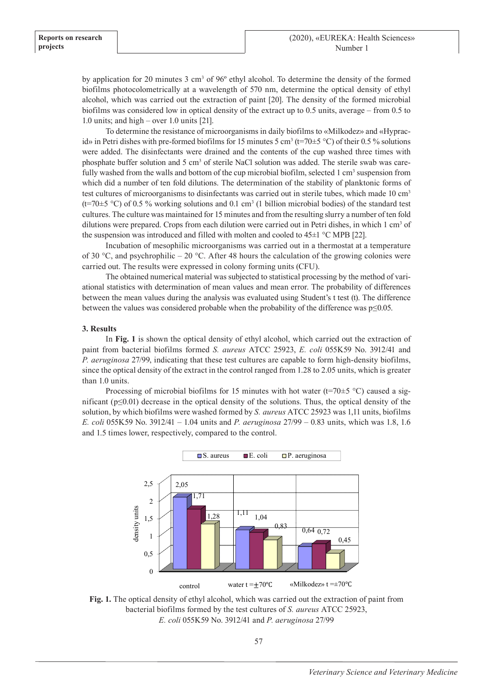by application for 20 minutes 3 cm<sup>3</sup> of 96<sup>o</sup> ethyl alcohol. To determine the density of the formed biofilms photocolometrically at a wavelength of 570 nm, determine the optical density of ethyl alcohol, which was carried out the extraction of paint [20]. The density of the formed microbial biofilms was considered low in optical density of the extract up to 0.5 units, average – from 0.5 to 1.0 units; and high – over 1.0 units [21].

To determine the resistance of microorganisms in daily biofilms to «Milkodez» and «Hypracid» in Petri dishes with pre-formed biofilms for 15 minutes 5 cm<sup>3</sup> (t=70 $\pm$ 5 °C) of their 0.5 % solutions were added. The disinfectants were drained and the contents of the cup washed three times with phosphate buffer solution and 5 cm<sup>3</sup> of sterile NaCl solution was added. The sterile swab was carefully washed from the walls and bottom of the cup microbial biofilm, selected 1 cm<sup>3</sup> suspension from which did a number of ten fold dilutions. The determination of the stability of planktonic forms of test cultures of microorganisms to disinfectants was carried out in sterile tubes, which made 10 cm<sup>3</sup>  $(t=70±5 °C)$  of 0.5 % working solutions and 0.1 cm<sup>3</sup> (1 billion microbial bodies) of the standard test cultures. The culture was maintained for 15 minutes and from the resulting slurry a number of ten fold dilutions were prepared. Crops from each dilution were carried out in Petri dishes, in which 1 cm<sup>3</sup> of the suspension was introduced and filled with molten and cooled to 45±1 °C MPB [22].

Incubation of mesophilic microorganisms was carried out in a thermostat at a temperature of 30 °C, and psychrophilic – 20 °C. After 48 hours the calculation of the growing colonies were carried out. The results were expressed in colony forming units (CFU).

The obtained numerical material was subjected to statistical processing by the method of variational statistics with determination of mean values and mean error. The probability of differences between the mean values during the analysis was evaluated using Student's t test (t). The difference between the values was considered probable when the probability of the difference was p≤0.05.

## **3. Results**

In **Fig. 1** is shown the optical density of ethyl alcohol, which carried out the extraction of paint from bacterial biofilms formed *S. aureus* ATCC 25923, *E. coli* 055K59 No. 3912/41 and *P. aeruginosa* 27/99, indicating that these test cultures are capable to form high-density biofilms, since the optical density of the extract in the control ranged from 1.28 to 2.05 units, which is greater than 1.0 units.

Processing of microbial biofilms for 15 minutes with hot water ( $t=70±5$  °C) caused a significant ( $p \le 0.01$ ) decrease in the optical density of the solutions. Thus, the optical density of the solution, by which biofilms were washed formed by *S. aureus* ATCC 25923 was 1,11 units, biofilms *E. coli* 055K59 No. 3912/41 – 1.04 units and *P. aeruginosa* 27/99 – 0.83 units, which was 1.8, 1.6 and 1.5 times lower, respectively, compared to the control.



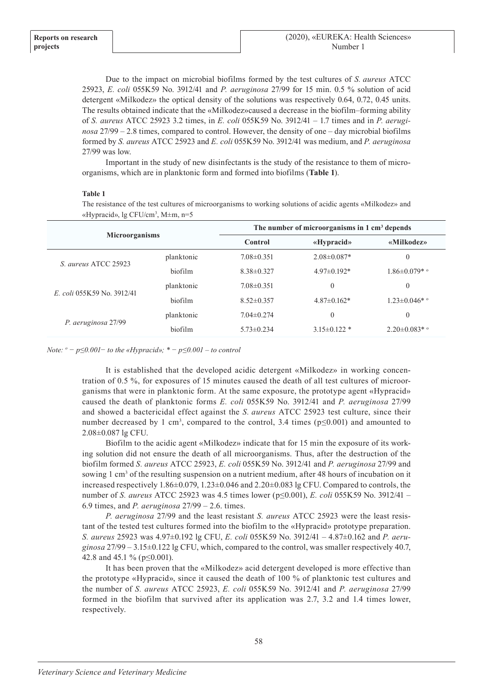Due to the impact on microbial biofilms formed by the test cultures of *S. aureus* ATCC 25923, *E. coli* 055K59 No. 3912/41 and *P. aeruginosa* 27/99 for 15 min. 0.5 % solution of acid detergent «Milkodez» the optical density of the solutions was respectively 0.64, 0.72, 0.45 units. The results obtained indicate that the «Milkodez»caused a decrease in the biofilm–forming ability of *S. aureus* ATCC 25923 3.2 times, in *E. coli* 055K59 No. 3912/41 – 1.7 times and in *P. aeruginosa* 27/99 – 2.8 times, compared to control. However, the density of one – day microbial biofilms formed by *S. aureus* ATCC 25923 and *E. coli* 055K59 No. 3912/41 was medium, and *P. aeruginosa* 27/99 was low.

Important in the study of new disinfectants is the study of the resistance to them of microorganisms, which are in planktonic form and formed into biofilms (**Table 1**).

## **Table 1**

The resistance of the test cultures of microorganisms to working solutions of acidic agents «Milkodez» and «Hypracid», lg CFU/cm<sup>3</sup> , M±m, n=5

| <b>Microorganisms</b>      |            | The number of microorganisms in $1 \text{ cm}^3$ depends |                   |                      |
|----------------------------|------------|----------------------------------------------------------|-------------------|----------------------|
|                            |            | <b>Control</b>                                           | «Hypracid»        | «Milkodez»           |
| S. aureus ATCC 25923       | planktonic | $7.08 \pm 0.351$                                         | $2.08 \pm 0.087*$ | $\theta$             |
|                            | hiofilm    | $8.38\pm0.327$                                           | $4.97\pm0.192*$   | $1.86 \pm 0.079$ * ° |
| E. coli 055K59 No. 3912/41 | planktonic | $7.08 \pm 0.351$                                         | $\theta$          | $\theta$             |
|                            | biofilm    | $8.52 \pm 0.357$                                         | $4.87 \pm 0.162*$ | $1.23 \pm 0.046$ * ° |
| P. aeruginosa 27/99        | planktonic | $7.04 \pm 0.274$                                         | $\theta$          | $\theta$             |
|                            | biofilm    | $5.73 \pm 0.234$                                         | $3.15\pm0.122*$   | $2.20 \pm 0.083$ * ° |

*Note: o − р≤0.001− to the «Hypracid»; \* − р≤0.001 – to control* 

It is established that the developed acidic detergent «Milkodez» in working concentration of 0.5 %, for exposures of 15 minutes caused the death of all test cultures of microorganisms that were in planktonic form. At the same exposure, the prototype agent «Hypracid» caused the death of planktonic forms *E. coli* 055K59 No. 3912/41 and *P. aeruginosa* 27/99 and showed a bactericidal effect against the *S. aureus* ATCC 25923 test culture, since their number decreased by 1 cm<sup>3</sup>, compared to the control, 3.4 times ( $p \le 0.001$ ) and amounted to 2.08±0.087 lg CFU.

Biofilm to the acidic agent «Milkodez» indicate that for 15 min the exposure of its working solution did not ensure the death of all microorganisms. Thus, after the destruction of the biofilm formed *S. aureus* ATCC 25923, *E. coli* 055K59 No. 3912/41 and *P. aeruginosa* 27/99 and sowing 1 cm<sup>3</sup> of the resulting suspension on a nutrient medium, after 48 hours of incubation on it increased respectively 1.86±0.079, 1.23±0.046 and 2.20±0.083 lg CFU. Compared to controls, the number of *S. aureus* ATCC 25923 was 4.5 times lower (p≤0.001), *E. coli* 055K59 No. 3912/41 – 6.9 times, and *P. aeruginosa* 27/99 – 2.6. times.

*P. aeruginosa* 27/99 and the least resistant *S. aureus* ATCC 25923 were the least resistant of the tested test cultures formed into the biofilm to the «Hypracid» prototype preparation. *S. aureus* 25923 was 4.97±0.192 lg CFU, *E. coli* 055K59 No. 3912/41 – 4.87±0.162 and *P. aeruginosa* 27/99 – 3.15±0.122 lg CFU, which, compared to the control, was smaller respectively 40.7, 42.8 and 45.1 % (p≤0.001).

It has been proven that the «Milkodez» acid detergent developed is more effective than the prototype «Hypracid», since it caused the death of 100 % of planktonic test cultures and the number of *S. aureus* ATCC 25923, *E. coli* 055K59 No. 3912/41 and *P. aeruginosa* 27/99 formed in the biofilm that survived after its application was 2.7, 3.2 and 1.4 times lower, respectively.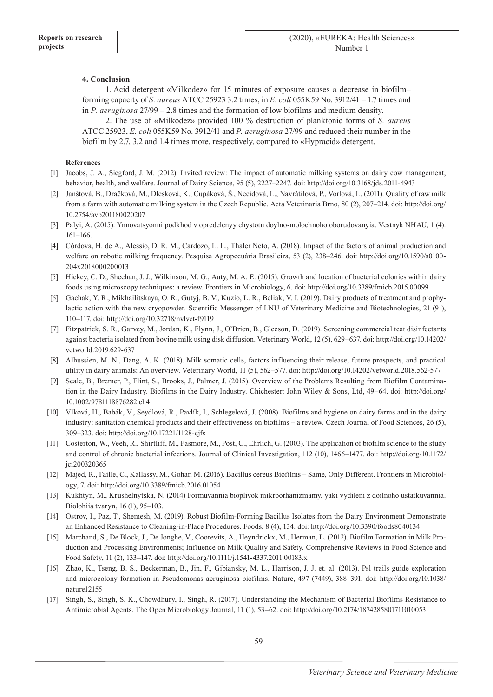## **4. Conclusion**

1. Acid detergent «Milkodez» for 15 minutes of exposure causes a decrease in biofilm– forming capacity of *S. aureus* ATCC 25923 3.2 times, in *E. coli* 055K59 No. 3912/41 – 1.7 times and in *P. aeruginosa* 27/99 – 2.8 times and the formation of low biofilms and medium density.

2. The use of «Milkodez» provided 100 % destruction of planktonic forms of *S. aureus* ATCC 25923, *E. coli* 055K59 No. 3912/41 and *P. aeruginosa* 27/99 and reduced their number in the biofilm by 2.7, 3.2 and 1.4 times more, respectively, compared to «Hypracid» detergent.

#### **References**

- [1] Jacobs, J. A., Siegford, J. M. (2012). Invited review: The impact of automatic milking systems on dairy cow management, behavior, health, and welfare. Journal of Dairy Science, 95 (5), 2227–2247. doi: http://doi.org/10.3168/jds.2011-4943
- [2] Janštová, B., Dračková, M., Dlesková, K., Cupáková, Š., Necidová, L., Navrátilová, P., Vorlová, L. (2011). Quality of raw milk from a farm with automatic milking system in the Czech Republic. Acta Veterinaria Brno, 80 (2), 207–214. doi: http://doi.org/ 10.2754/avb201180020207
- [3] Palyi, A. (2015). Ynnovatsyonni podkhod v opredelenyy chystotu doylno-molochnoho oborudovanyia. Vestnyk NHAU, 1 (4). 161–166.
- [4] Córdova, H. de A., Alessio, D. R. M., Cardozo, L. L., Thaler Neto, A. (2018). Impact of the factors of animal production and welfare on robotic milking frequency. Pesquisa Agropecuária Brasileira, 53 (2), 238–246. doi: http://doi.org/10.1590/s0100- 204x2018000200013
- [5] Hickey, C. D., Sheehan, J. J., Wilkinson, M. G., Auty, M. A. E. (2015). Growth and location of bacterial colonies within dairy foods using microscopy techniques: a review. Frontiers in Microbiology, 6. doi: http://doi.org/10.3389/fmicb.2015.00099
- [6] Gachak, Y. R., Mikhailitskaya, O. R., Gutyj, B. V., Kuzio, L. R., Beliak, V. I. (2019). Dairy products of treatment and prophylactic action with the new cryopowder. Scientific Messenger of LNU of Veterinary Medicine and Biotechnologies, 21 (91), 110–117. doi: http://doi.org/10.32718/nvlvet-f9119
- [7] Fitzpatrick, S. R., Garvey, M., Jordan, K., Flynn, J., O'Brien, B., Gleeson, D. (2019). Screening commercial teat disinfectants against bacteria isolated from bovine milk using disk diffusion. Veterinary World, 12 (5), 629–637. doi: http://doi.org/10.14202/ vetworld.2019.629-637
- [8] Alhussien, M. N., Dang, A. K. (2018). Milk somatic cells, factors influencing their release, future prospects, and practical utility in dairy animals: An overview. Veterinary World, 11 (5), 562–577. doi: http://doi.org/10.14202/vetworld.2018.562-577
- [9] Seale, B., Bremer, P., Flint, S., Brooks, J., Palmer, J. (2015). Overview of the Problems Resulting from Biofilm Contamination in the Dairy Industry. Biofilms in the Dairy Industry. Chichester: John Wiley & Sons, Ltd, 49–64. doi: http://doi.org/ 10.1002/9781118876282.ch4
- [10] Vlková, H., Babák, V., Seydlová, R., Pavlík, I., Schlegelová, J. (2008). Biofilms and hygiene on dairy farms and in the dairy industry: sanitation chemical products and their effectiveness on biofilms – a review. Czech Journal of Food Sciences, 26 (5), 309–323. doi: http://doi.org/10.17221/1128-cjfs
- [11] Costerton, W., Veeh, R., Shirtliff, M., Pasmore, M., Post, C., Ehrlich, G. (2003). The application of biofilm science to the study and control of chronic bacterial infections. Journal of Clinical Investigation, 112 (10), 1466–1477. doi: http://doi.org/10.1172/ jci200320365
- [12] Majed, R., Faille, C., Kallassy, M., Gohar, M. (2016). Bacillus cereus Biofilms Same, Only Different. Frontiers in Microbiology, 7. doi: http://doi.org/10.3389/fmicb.2016.01054
- [13] Kukhtyn, M., Krushelnytska, N. (2014) Formuvannia bioplivok mikroorhanizmamy, yaki vydileni z doilnoho ustatkuvannia. Biolohiia tvaryn, 16 (1), 95–103.
- [14] Ostrov, I., Paz, T., Shemesh, M. (2019). Robust Biofilm-Forming Bacillus Isolates from the Dairy Environment Demonstrate an Enhanced Resistance to Cleaning-in-Place Procedures. Foods, 8 (4), 134. doi: http://doi.org/10.3390/foods8040134
- [15] Marchand, S., De Block, J., De Jonghe, V., Coorevits, A., Heyndrickx, M., Herman, L. (2012). Biofilm Formation in Milk Production and Processing Environments; Influence on Milk Quality and Safety. Comprehensive Reviews in Food Science and Food Safety, 11 (2), 133–147. doi: http://doi.org/10.1111/j.1541-4337.2011.00183.x
- [16] Zhao, K., Tseng, B. S., Beckerman, B., Jin, F., Gibiansky, M. L., Harrison, J. J. et. al. (2013). Psl trails guide exploration and microcolony formation in Pseudomonas aeruginosa biofilms. Nature, 497 (7449), 388–391. doi: http://doi.org/10.1038/ nature12155
- [17] Singh, S., Singh, S. K., Chowdhury, I., Singh, R. (2017). Understanding the Mechanism of Bacterial Biofilms Resistance to Antimicrobial Agents. The Open Microbiology Journal, 11 (1), 53–62. doi: http://doi.org/10.2174/1874285801711010053